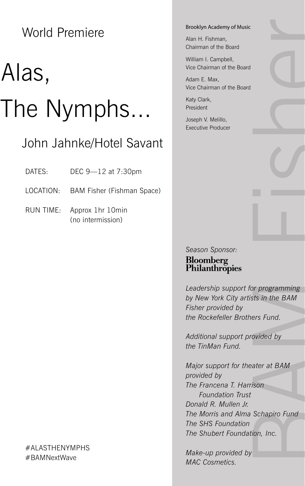World Premiere

# Alas, The Nymphs...

## John Jahnke/Hotel Savant

DATES: DEC 9-12 at 7:30pm

LOCATION: BAM Fisher (Fishman Space)

RUN TIME: Approx 1hr 10min (no intermission)

#### #ALASTHENYMPHS #BAMNextWave

#### Brooklyn Academy of Music

Alan H. Fishman, Chairman of the Board

William I. Campbell, Vice Chairman of the Board

Adam E. Max, Vice Chairman of the Board

Katy Clark, President

Joseph V. Melillo, Executive Producer

#### *Season Sponsor:* Bloomberg Philanthropies

*Leadership support for programming by New York City artists in the BAM Fisher provided by the Rockefeller Brothers Fund.*

*Additional support provided by the TinMan Fund.*

or programming<br>ts in the BAM<br>ers Fund.<br>ovided by<br>ater at BAM<br>ison<br>Schapiro Fund<br>ion, Inc. *Major support for theater at BAM provided by The Francena T. Harrison Foundation Trust Donald R. Mullen Jr. The Morris and Alma Schapiro Fund The SHS Foundation The Shubert Foundation, Inc.*

*Make-up provided by MAC Cosmetics.*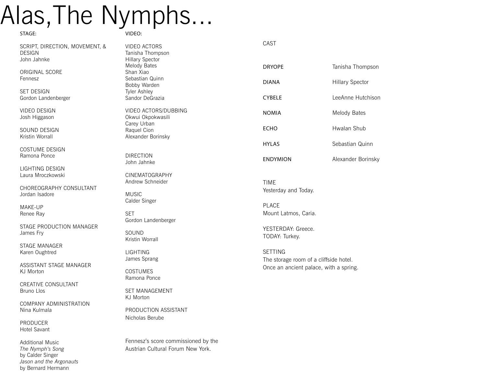# Alas,The Nymphs...

#### STAGE:

SCRIPT, DIRECTION, MOVEMENT, & DESIGN John Jahnke

ORIGINAL SCORE Fennesz

SET DESIGN Gordon Landenberger

VIDEO DESIGN Josh Higgason

SOUND DESIGN Kristin Worrall

COSTUME DESIGN Ramona Ponce

LIGHTING DESIGN Laura Mroczkowski

CHOREOGRAPHY CONSULTANT Jordan Isadore

MAKE-UP Renee Ray

STAGE PRODUCTION MANAGER James Fry

STAGE MANAGER Karen Oughtred

ASSISTANT STAGE MANAGER KJ Morton

CREATIVE CONSULTANT Bruno Llos

COMPANY ADMINISTRATION Nina Kulmala

PRODUCER Hotel Savant

Additional Music *The Nymph's Song*  by Calder Singer *Jason and the Argonauts*  by Bernard Hermann

VIDEO: VIDEO ACTORS

Tanisha Thompson Hillary Spector Melody Bates Shan Xiao Sebastian Quinn Bobby Warden Tyler Ashley Sandor DeGrazia

VIDEO ACTORS/DUBBING Okwui Okpokwasili Carey Urban Raquel Cion Alexander Borinsky

DIRECTION John Jahnke

MUSIC Calder Singer

SET

SOUND Kristin Worrall

LIGHTING James Sprang **COSTUMES** Ramona Ponce

KJ Morton

CINEMATOGRAPHY Andrew Schneider

Gordon Landenberger

SET MANAGEMENT

Nicholas Berube

PRODUCTION ASSISTANT

Fennesz's score commissioned by the Austrian Cultural Forum New York.

| ۰.<br>۰, |
|----------|

| DRYOPF          | Tanisha Thompson   |
|-----------------|--------------------|
| DIANA           | Hillary Spector    |
| CYBFI F         | LeeAnne Hutchison  |
| <b>NOMIA</b>    | Melody Bates       |
| <b>FCHO</b>     | Hwalan Shub        |
| HYI AS          | Sebastian Quinn    |
| <b>ENDYMION</b> | Alexander Borinsky |
|                 |                    |

TIME Yesterday and Today.

PLACE Mount Latmos, Caria.

YESTERDAY: Greece. TODAY: Turkey.

SETTING The storage room of a cliffside hotel. Once an ancient palace, with a spring.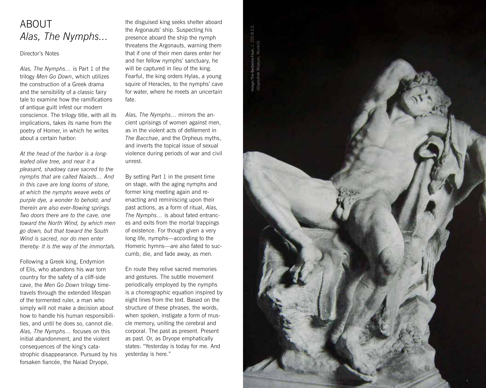# ABOUT *Alas, The Nymphs...*

#### Director's Notes

*Alas, The Nymphs…* is Part 1 of the trilogy *Men Go Down*, which utilizes the construction of a Greek drama and the sensibility of a classic fairy tale to examine how the ramifications of antique guilt infest our modern conscience. The trilogy title, with all its implications, takes its name from the poetry of Homer, in which he writes about a certain harbor:

*At the head of the harbor is a longleafed olive tree, and near it a pleasant, shadowy cave sacred to the nymphs that are called Naiads… And in this cave are long looms of stone, at which the nymphs weave webs of purple dye, a wonder to behold; and therein are also ever-flowing springs. Two doors there are to the cave, one toward the North Wind, by which men go down, but that toward the South Wind is sacred, nor do men enter thereby: it is the way of the immortals.*

Following a Greek king, Endymion of Elis, who abandons his war torn country for the safety of a cliff-side cave, the *Men Go Down* trilogy timetravels through the extended lifespan of the tormented ruler, a man who simply will not make a decision about how to handle his human responsibilities, and until he does so, cannot die. *Alas, The Nymphs…* focuses on this initial abandonment, and the violent consequences of the king's catastrophic disappearance. Pursued by his forsaken fiancée, the Naiad Dryope,

the disguised king seeks shelter aboard the Argonauts' ship. Suspecting his presence aboard the ship the nymph threatens the Argonauts, warning them that if one of their men dares enter her and her fellow nymphs' sanctuary, he will be captured in lieu of the king. Fearful, the king orders Hylas, a young squire of Heracles, to the nymphs' cave for water, where he meets an uncertain fate.

*Alas, The Nymphs…* mirrors the ancient uprisings of women against men, as in the violent acts of defilement in *The Bacchae*, and the Orpheus myths, and inverts the topical issue of sexual violence during periods of war and civil unrest.

By setting Part 1 in the present time on stage, with the aging nymphs and former king meeting again and reenacting and reminiscing upon their past actions, as a form of ritual, *Alas, The Nymphs…* is about fated entrances and exits from the mortal trappings of existence. For though given a very long life, nymphs—according to the Homeric hymns—are also fated to succumb, die, and fade away, as men.

En route they relive sacred memories and gestures. The subtle movement periodically employed by the nymphs is a choreographic equation inspired by eight lines from the text. Based on the structure of these phrases, the words, when spoken, instigate a form of muscle memory, uniting the cerebral and corporal. The past as present. Present as past. Or, as Dryope emphatically states: "Yesterday is today for me. And yesterday is here."

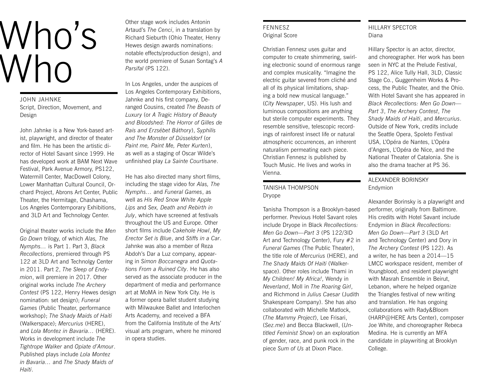# Who's Who

JOHN JAHNKE Script, Direction, Movement, and Design

John Jahnke is a New York-based artist, playwright, and director of theater and film. He has been the artistic director of Hotel Savant since 1999. He has developed work at BAM Next Wave Festival, Park Avenue Armory, PS122, Watermill Center, MacDowell Colony, Lower Manhattan Cultural Council, Orchard Project, Abrons Art Center, Public Theater, the Hermitage, Chashama, Los Angeles Contemporary Exhibitions, and 3LD Art and Technology Center.

Original theater works include the *Men Go Down* trilogy, of which *Alas, The Nymphs…* is Part 1. Part 3, *Black Recollections*, premiered through PS 122 at 3LD Art and Technolgy Center in 2011. Part 2, *The Sleep of Endymion*, will premiere in 2017. Other original works include *The Archery Contest* (PS 122, Henry Hewes design nomination: set design); *Funeral Games* (Public Theater, performance workshop); *The Shady Maids of Haiti* (Walkerspace); *Mercurius* (HERE), and *Lola Montez in Bavaria…* (HERE). Works in development include *The Tightrope Walker* and *Opiate d'Amour*. Published plays include *Lola Montez in Bavaria…* and *The Shady Maids of Haiti*.

Other stage work includes Antonin Artaud's *The Cenci*, in a translation by Richard Sieburth (Ohio Theater, Henry Hewes design awards nominations: notable effects/production design), and the world premiere of Susan Sontag's *A Parsifal* (PS 122).

In Los Angeles, under the auspices of Los Angeles Contemporary Exhibitions, Jahnke and his first company, Deranged Cousins, created *The Beasts of Luxury* (or *A Tragic History of Beauty and Bloodshed: The Horror of Gilles de Rais and Erzsébet Báthory*), *Syphilis and The Monster of Düsseldorf* (or *Paint me, Paint Me, Peter Kurten*), as well as a staging of Oscar Wilde's unfinished play *La Sainte Courtisane*.

He has also directed many short films, including the stage video for *Alas, The Nymphs…* and *Funeral Games*, as well as *His Red Snow White Apple Lips* and *Sex, Death and Rebirth in July*, which have screened at festivals throughout the US and Europe. Other short films include *Cakehole Howl*, *My Erector Set is Blue*, and *Stiffs in a Car*. Jahnke was also a member of Reza Abdoh's Dar a Luz company, appearing in *Simon Boccanegra* and *Quotations From a Ruined City*. He has also served as the associate producer in the department of media and performance art at MoMA in New York City. He is a former opera ballet student studying with Milwaukee Ballet and Interlochen Arts Academy, and received a BFA from the California Institute of the Arts' visual arts program, where he minored in opera studies.

#### FENNESZ Original Score

Christian Fennesz uses guitar and computer to create shimmering, swirling electronic sound of enormous range and complex musicality. "Imagine the electric guitar severed from cliché and all of its physical limitations, shaping a bold new musical language." (*City Newspaper*, US). His lush and luminous compositions are anything but sterile computer experiments. They resemble sensitive, telescopic recordings of rainforest insect life or natural atmospheric occurrences, an inherent naturalism permeating each piece. Christian Fennesz is published by Touch Music. He lives and works in Vienna.

#### TANISHA THOMPSON Dryope

Tanisha Thompson is a Brooklyn-based performer. Previous Hotel Savant roles include Dryope in Black *Recollections: Men Go Down—Part 3* (PS 122/3lD Art and Technology Center), Fury #2 in *Funeral Games* (The Public Theater), the title role of *Mercurius* (HERE), and *The Shady Maids Of Haiti* (Walkerspace). Other roles include Thami in *My Children! My Africa!*, Wendy in *Neverland*, Moll in *The Roaring Girl*, and Richmond in *Julius Caesar* (Judith Shakespeare Company). She has also collaborated with Michelle Matlock, (*The Mammy Project*), Lee Frisari, (*Sez.me*) and Becca Blackwell, (*Untitled Feminist Show*) on an exploration of gender, race, and punk rock in the piece *Sum of Us* at Dixon Place.

#### HILLARY SPECTOR Diana

Hillary Spector is an actor, director, and choreographer. Her work has been seen in NYC at the Prelude Festival, PS 122, Alice Tully Hall, 3LD, Classic Stage Co., Guggenheim Works & Process, the Public Theater, and the Ohio. With Hotel Savant she has appeared in *Black Recollections: Men Go Down— Part 3*, *The Archery Contest*, *The Shady Maids of Haiti*, and *Mercurius*. Outside of New York, credits include the Seattle Opera, Spoleto Festival USA, L'Opéra de Nantes, L'Opéra d'Angers, L'Opéra de Nice, and the National Theater of Catalonia. She is also the drama teacher at PS 36.

#### ALEXANDER BORINSKY Endymion

Alexander Borinsky is a playwright and performer, originally from Baltimore. His credits with Hotel Savant include Endymion in *Black Recollections: Men Go Down—Part 3* (3LD Art and Technology Center) and Dory in *The Archery Contest* (PS 122). As a writer, he has been a 2014—15 LMCC workspace resident, member of Youngblood, and resident playwright with Masrah Ensemble in Beirut, Lebanon, where he helped organize the Triangles festival of new writing and translation. He has ongoing collaborations with Rady&Bloom (HARP@HERE Arts Center), composer Joe White, and choreographer Rebeca Medina. He is currently an MFA candidate in playwriting at Brooklyn College.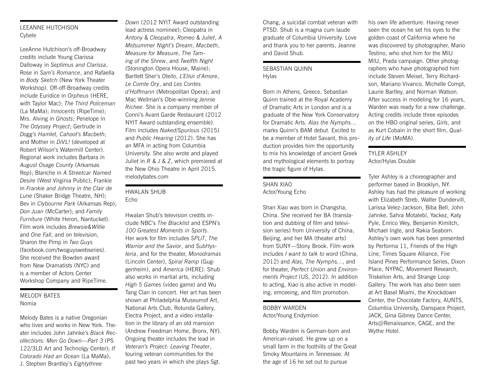#### LEEANNE HUTCHISON Cybele

LeeAnne Hutchison's off-Broadway credits include Young Clarissa Dalloway in *Septimus and Clarissa*, Rose in *Sam's Romance*, and Rafaella in *Body Sketch* (New York Theater Workshop). Off-off-Broadway credits include Euridice in *Orpheus* (HERE, with Taylor Mac); *The Third Policeman* (La MaMa); *Innocents* (RipeTime); Mrs. Alving in *Ghosts*; Penelope in *The Odyssey Project*; Gertrude in *Dogg's Hamlet, Cahoot's Macbeth*; and Mother in *DiVL!* (developed at Robert Wilson's Watermill Center). Regional work includes Barbara in *August Osage County* (Arkansas Rep); Blanche in *A Streetcar Named Desire* (West Virginia Public); Frankie in *Frankie and Johnny in the Clair de Lune* (Shaker Bridge Theatre, NH); Bev in *Clybourne Park* (Arkansas Rep); *Don Juan* (McCarter); and *Family Furniture* (White Heron, Nantucket). Film work includes *Brewsie&Willie* and *One Fall*, and on television, Sharon the Pimp in *Two Guys* (facebook.com/twoguyswebseries). She received the Bowden award from New Dramatists (NYC) and is a member of Actors Center Workshop Company and RipeTime.

#### MELODY BATES Nomia

Melody Bates is a native Oregonian who lives and works in New York. Theater includes John Jahnke's *Black Recollections: Men Go Down—Part 3* (PS 122/3LD Art and Technolgy Center); *If Colorado Had an Ocean* (La MaMa); J. Stephen Brantley's *Eightythree* 

*Down* (2012 NYIT Award outstanding lead actress nominee); Cleopatra in *Antony & Cleopatra*, *Romeo & Juliet*, *A Midsummer Night's Dream*, *Macbeth*, *Measure for Measure*, *The Taming of the Shrew*, and *Twelfth Night* (Stonington Opera House, Maine); Bartlett Sher's *Otello*, *L'Elisir d'Amore*, *Le Comte Ory*, and *Les Contes d'Hoffmann* (Metropolitan Opera); and Mac Wellman's Obie-winning *Jennie Richee*. She is a company member of Conni's Avant Garde Restaurant (2012 NYIT Award outstanding ensemble). Film includes *Naked/Spurious* (2015) and *Public Hearing* (2012). She has an MFA in acting from Columbia University. She also wrote and played Juliet in *R & J & Z*, which premiered at the New Ohio Theatre in April 2015. melodybates.com

#### HWALAN SHUB Echo

Hwalan Shub's television credits include NBC's *The Blacklist* and ESPN's *100 Greatest Moments in Sports*. Her work for film includes *SPLiT*, *The Warrior and the Savior*, and *SubHysteria*, and for the theater, *Monodramas* (Lincoln Center), *Spiral Ramp* (Guggenheim), and *America* (HERE). Shub also works in martial arts, including *High 5 Games* (video game) and Wu Tang Clan in concert. Her art has been shown at Philadelphia Museumof Art, National Arts Club, Rotunda Gallery, Electra Project, and a video installation in the library of an old mansion (Andrew Freedman Home, Bronx, NY). Ongoing theater includes the lead in *Veteran's Project: Leaving Theater*, touring veteran communities for the past two years in which she plays Sgt.

Chang, a suicidal combat veteran with PTSD. Shub is a magna cum laude graduate of Columbia University. Love and thank you to her parents, Jeanne and David Shub.

#### SEBASTIAN QUINN **Hylas**

Born in Athens, Greece, Sebastian Quinn trained at the Royal Academy of Dramatic Arts in London and is a graduate of the New York Conservatory for Dramatic Arts. *Alas the Nymphs*... marks Quinn's BAM debut. Excited to be a member of Hotel Savant, this production provides him the opportunity to mix his knowledge of ancient Greek and mythological elements to portray the tragic figure of Hylas.

#### SHAN XIAO Actor/Young Echo

Shan Xiao was born in Changsha, China. She received her BA (translation and dubbing of film and television series) from University of China, Beijing, and her MA (theater arts) from SUNY—Stony Brook. Film work includes *I want to talk to word* (China, 2012) and *Alas, The Nymphs...*, and for theater, *Perfect Union* and *Environments Project* (US, 2012). In addition to acting, Xiao is also active in modeling, emceeing, and film promotion.

#### BOBBY WARDEN Actor/Young Endymion

Bobby Warden is German-born and American-raised. He grew up on a small farm in the foothills of the Great Smoky Mountains in Tennessee. At the age of 16 he set out to pursue

his own life adventure. Having never seen the ocean he set his eyes to the golden coast of California where he was discovered by photographer, Mario Testino, who shot him for the MIU MIU, Prada campaign. Other photographers who have photographed him include Steven Meisel, Terry Richardson, Mariano Vivanco, Michelle Compt, Laurie Bartley, and Norman Watson. After success in modeling for 16 years, Warden was ready for a new challenge. Acting credits include three episodes on the HBO original series, *Girls*, and as Kurt Cobain in the short film, *Quality of Life* (MoMA).

#### TYLER ASHLEY Actor/Hylas Double

Tyler Ashley is a choreographer and performer based in Brooklyn, NY. Ashley has had the pleasure of working with Elizabeth Streb, Walter Dundervill, Larissa Velez-Jackson, Biba Bell, John Jahnke, Sahra Motalebi, Yackez, Katy Pyle, Enrico Wey, Benjamin Kimitch, Michael Ingle, and Rakia Seaborn. Ashley's own work has been presented by Performa 11, Friends of the High Line, Times Square Alliance, Fire Island Pines Performance Series, Dixon Place, NYPAC, Movement Research, Triskelion Arts, and Strange Loop Gallery. The work has also been seen at Art Basel Miami, the Knockdown Center, the Chocolate Factory, AUNTS, Columbia University, Danspace Project, JACK, Gina Gibney Dance Center, Arts@Renaissance, CAGE, and the Wythe Hotel.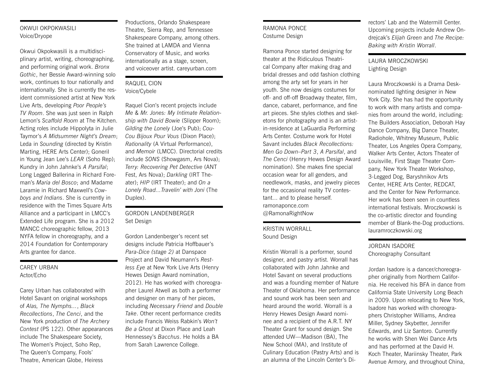#### OKWUI OKPOKWASILI Voice/Dryope

Okwui Okpokwasili is a multidisciplinary artist, writing, choreographing, and performing original work. *Bronx Gothic*, her Bessie Award-winning solo work, continues to tour nationally and internationally. She is currently the resident commissioned artist at New York Live Arts, developing *Poor People's TV Room*. She was just seen in Ralph Lemon's *Scaffold Room* at The Kitchen. Acting roles include Hippolyta in Julie Taymor's *A Midsummer Night's Dream*; Leda in *Sounding* (directed by Kristin Marting, HERE Arts Center); Goneril in Young Jean Lee's *LEAR* (Soho Rep); Kundry in John Jahnke's *A Parsifal*; Long Legged Ballerina in Richard Foreman's *Maria del Bosco*; and Madame Laramie in Richard Maxwell's *Cowboys and Indians*. She is currently in residence with the Times Square Arts Alliance and a participant in LMCC's Extended Life program. She is a 2012 MANCC choreographic fellow, 2013 NYFA fellow in choreography, and a 2014 Foundation for Contemporary Arts grantee for dance.

#### CAREY URBAN Actor/Echo

Carey Urban has collaborated with Hotel Savant on original workshops of *Alas, The Nymphs...*, *Black Recollections*, *The Cenci*, and the New York production of *The Archery Contest* (PS 122). Other appearances include The Shakespeare Society, The Women's Project, Soho Rep, The Queen's Company, Fools' Theatre, American Globe, Heiress

Productions, Orlando Shakespeare Theatre, Sierra Rep, and Tennessee Shakespeare Company, among others. She trained at LAMDA and Vienna Conservatory of Music, and works internationally as a stage, screen, and voiceover artist. careyurban.com

#### RAQUEL CION Voice/Cybele

Raquel Cion's recent projects include *Me & Mr. Jones: My Intimate Relationship with David Bowie* (Slipper Room); *Gilding the Lonely* (Joe's Pub); *Cou-Cou Bijoux Pour Vous* (Dixon Place); *Rationality* (A Virtual Performance), and *Memoir* (LMCC). Directorial credits include *SONS* (Showgasm, Ars Nova); *Terry: Recovering Pet Detective* (ANT Fest, Ars Nova); *Darkling* (IRT Theater); *HIP* (IRT Theater); and *On a Lonely Road...Travelin' with Joni* (The Duplex).

#### GORDON LANDENBERGER Set Design

Gordon Landenberger's recent set designs include Patricia Hoffbauer's *Para-Dice (stage 2)* at Danspace Project and David Neumann's *Restless Eye* at New York Live Arts (Henry Hewes Design Award nomination, 2012). He has worked with choreographer Laurel Atwell as both a performer and designer on many of her pieces, including *Necessary Friend* and *Double Take*. Other recent performance credits include Francis Weiss Rabkin's *Won't Be a Ghost* at Dixon Place and Leah Hennessey's *Bacchus*. He holds a BA from Sarah Lawrence College.

#### RAMONA PONCE Costume Design

Ramona Ponce started designing for theater at the Ridiculous Theatrical Company after making drag and bridal dresses and odd fashion clothing among the arty set for years in her youth. She now designs costumes for off- and off-off Broadway theater, film, dance, cabaret, performance, and fine art pieces. She styles clothes and skeletons for photography and is an artistin-residence at LaGuardia Performing Arts Center. Costume work for Hotel Savant includes *Black Recollections: Men Go Down–Part 3*, *A Parsifal*, and *The Cenci* (Henry Hewes Design Award nomination). She makes fine special occasion wear for all genders, and needlework, masks, and jewelry pieces for the occasional reality TV contestant... and to please herself. ramonaponce.com @RamonaRightNow

KRISTIN WORRALL Sound Design

Kristin Worrall is a performer, sound designer, and pastry artist. Worrall has collaborated with John Jahnke and Hotel Savant on several productions and was a founding member of Nature Theater of Oklahoma. Her performance and sound work has been seen and heard around the world. Worrall is a Henry Hewes Design Award nominee and a recipient of the A.R.T. NY Theater Grant for sound design. She attended UW—Madison (BA), The New School (MA), and Institute of Culinary Education (Pastry Arts) and is an alumna of the Lincoln Center's Di-

rectors' Lab and the Watermill Center. Upcoming projects include Andrew Ondrejcak's *Elijah Green* and *The Recipe: Baking with Kristin Worrall*.

#### LAURA MROCZKOWSKI Lighting Design

Laura Mroczkowski is a Drama Desknominated lighting designer in New York City. She has had the opportunity to work with many artists and companies from around the world, including: The Builders Association, Deborah Hay Dance Company, Big Dance Theater, Radiohole, Whitney Museum, Public Theater, Los Angeles Opera Company, Walker Arts Center, Actors Theater of Louisville, First Stage Theater Company, New York Theater Workshop, 3-Legged Dog, Baryshnikov Arts Center, HERE Arts Center, REDCAT, and the Center for New Performance. Her work has been seen in countless international festivals. Mroczkowski is the co-artistic director and founding member of Blank-the-Dog productions. lauramroczkowski.org

#### JORDAN ISADORE Choreography Consultant

Jordan Isadore is a dancer/choreographer originally from Northern California. He received his BFA in dance from California State University Long Beach in 2009. Upon relocating to New York, Isadore has worked with choreographers Christopher Williams, Andrea Miller, Sydney Skybetter, Jennifer Edwards, and Liz Santoro. Currently he works with Shen Wei Dance Arts and has performed at the David H. Koch Theater, Mariinsky Theater, Park Avenue Armory, and throughout China,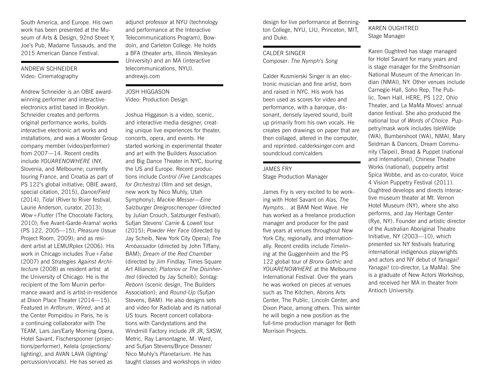South America, and Europe. His own work has been presented at the Museum of Arts & Design, 92nd Street Y, Joe's Pub, Madame Tussauds, and the 2015 American Dance Festival.

#### ANDREW SCHNEIDER Video: Cinematography

Andrew Schneider is an OBIE awardwinning performer and interactiveelectronics artist based in Brooklyn. Schneider creates and performs original performance works, builds interactive electronic art works and installations, and was a Wooster Group company member (video/performer) from 2007—14. Recent credits include *YOUARENOWHERE* (NY, Slovenia, and Melbourne; currently touring France, and Croatia as part of PS 122's global initiative; OBIE award, special citation, 2015), *Dance/Field* (2014), *Tidal* (River to River festival, Laurie Anderson, curator, 2013); *Wow+Flutter* (The Chocolate Factory, 2010); five Avant-Garde-Arama! works (PS 122, 2005—15); *Pleasure* (Issue Project Room, 2009); and as resident artist at LEMURplex (2006). His work in Chicago includes *True+False*  (2007) and *Strategies Against Architecture* (2008) as resident artist at the University of Chicago. He is the recipient of the Tom Murrin performance award and is artist-in-residence at Dixon Place Theater (2014—15). Featured in *Artforum*, *Wired*, and at the Center Pompidou in Paris, he is a continuing collaborator with The TEAM, Lars Jan/Early Morning Opera, Hotel Savant, Fischerspooner (projections/performer), Kelela (projections/ lighting), and AVAN LAVA (lighting/ percussion/vocals). He has served as

adjunct professor at NYU (technology and performance at the Interactive Telecommunications Program), Bowdoin, and Carleton College. He holds a BFA (theater arts, Illinois Wesleyan University) and an MA (interactive telecommunications, NYU). andrewis.com

#### JOSH HIGGASON Video: Production Design

Joshua Higgason is a video, scenic, and interactive media designer, creating unique live experiences for theater, concerts, opera, and events. He started working in experimental theater and art with the Builders Association and Big Dance Theater in NYC, touring the US and Europe. Recent productions include *Control (Five Landscapes for Orchestra)* (film and set design, new work by Nico Muhly, Utah Symphony); *Mackie Messer—Eine Salzburger Dreigroschenoper* (directed by Julian Crouch, Salzburger Festival); Sufjan Stevens' *Carrie & Lowell* tour (2015); *Powder Her Face* (directed by Jay Scheib, New York City Opera); *The Ambassador* (directed by John Tiffany, BAM); *Dream of the Red Chamber* (directed by Jim Findlay, Times Square Art Alliance); *Platonov or The Disinherited* (directed by Jay Scheib); *Sontag: Reborn* (scenic design, The Builders Association); and *Round-Up* (Sufjan Stevens, BAM). He also designs sets and video for Radiolab and its national US tours. Recent concert collaborations with Candystations and the Windmill Factory include JR JR, SXSW, Metric, Ray Lamontagne, M. Ward, and Sufjan Stevens/Bryce Dessner/ Nico Muhly's *Planetarium*. He has taught classes and workshops in video

design for live performance at Bennington College, NYU, LIU, Princeton, MIT, and Duke.

#### CALDER SINGER Composer: *The Nymph's Song*

Calder Kusmierski Singer is an electronic musician and fine artist, born and raised in NYC. His work has been used as scores for video and performance, with a baroque, dissonant, densely layered sound, built up primarily from his own vocals. He creates pen drawings on paper that are then collaged, altered in the computer, and reprinted. calderksinger.com and soundcloud.com/calders

### JAMES FRY

Stage Production Manager

James Fry is very excited to be working with Hotel Savant on *Alas, The Nymphs...* at BAM Next Wave. He has worked as a freelance production manager and producer for the past five years at venues throughout New York City, regionally, and internationally. Recent credits include *Timelining* at the Guggenheim and the PS 122 global tour of *Bronx Gothic* and *YOUARENOWHERE* at the Melbourne International Festival. Over the years he was worked on pieces at venues such as The Kitchen, Abrons Arts Center, The Public, Lincoln Center, and Dixon Place, among others. This winter he will begin a new position as the full-time production manager for Beth Morrison Projects.

#### KAREN OUGHTRED Stage Manager

Karen Oughtred has stage managed for Hotel Savant for many years and is stage manager for the Smithsonian National Museum of the American Indian (NMAI), NY. Other venues include Carnegie Hall, Soho Rep, The Public, Town Hall, HERE, PS 122, Ohio Theater, and La MaMa Moves! annual dance festival. She also produced the national tour of *Words of Choice*. Puppetry/mask work includes IsleWilde (WA), Bumbershoot (WA), NMAI, Mary Seidman & Dancers, Dream Community (Taipei), Bread & Puppet (national and international), Chinese Theatre Works (national), puppetry artist Spica Wobbe, and as co-curator, Voice 4 Vision Puppetry Festival (2011). Oughtred develops and directs interactive museum theater at Mt. Vernon Hotel Museum (NY), where she also performs, and Jay Heritage Center (Rye, NY). Founder and artistic director of the Australian Aboriginal Theatre Initiative, NY (2003—10), which presented six NY festivals featuring international indigenous playwrights and actors and NY debut of *Yanagai! Yanagai!* (co-director, La MaMa). She is a graduate of New Actors Workshop, and received her MA in theater from Antioch University.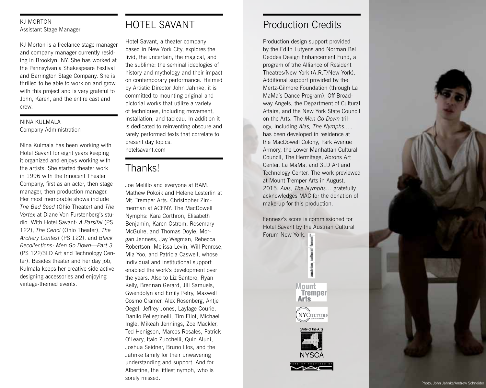#### KJ MORTON Assistant Stage Manager

KJ Morton is a freelance stage manager and company manager currently resid ing in Brooklyn, NY. She has worked at the Pennsylvania Shakespeare Festival and Barrington Stage Company. She is thrilled to be able to work on and grow with this project and is very grateful to John, Karen, and the entire cast and crew.

#### NINA KULMALA Company Administration

Nina Kulmala has been working with Hotel Savant for eight years keeping it organized and enjoys working with the artists. She started theater work in 1996 with the Innocent Theater Company, first as an actor, then stage manager, then production manager. Her most memorable shows include *The Bad Seed* (Ohio Theater) and *The Vortex* at Diane Von Furstenberg's stu dio. With Hotel Savant: *A Parsifal* (PS 122), *The Cenci* (Ohio Theater), *The Archery Contest* (PS 122), and *Black Recollections: Men Go Down—Part 3* (PS 122/3LD Art and Technology Cen ter). Besides theater and her day job, Kulmala keeps her creative side active designing accessories and enjoying vintage-themed events.

# HOTEL SAVANT

Hotel Savant, a theater company based in New York City, explores the livid, the uncertain, the magical, and the sublime: the seminal ideologies of history and mythology and their impact on contemporary performance. Helmed by Artistic Director John Jahnke, it is committed to mounting original and pictorial works that utilize a variety of techniques, including movement, installation, and tableau. In addition it is dedicated to reinventing obscure and rarely performed texts that correlate to present day topics. hotelsavant.com

# Thanks!

Joe Melillo and everyone at BAM. Mathew Pokoik and Helene Lesterlin at Mt. Tremper Arts. Christopher Zim merman at ACFNY. The MacDowell Nymphs: Kara Corthron, Elisabeth Benjamin, Karen Ostrom, Rosemary McGuire, and Thomas Doyle. Mor gan Jenness, Jay Wegman, Rebecca Robertson, Melissa Levin, Will Penrose, Mia Yoo, and Patricia Caswell, whose individual and institutional support enabled the work's development over the years. Also to Liz Santoro, Ryan Kelly, Brennan Gerard, Jill Samuels, Gwendolyn and Emily Petry, Maxwell Cosmo Cramer, Alex Rosenberg, Antje Oegel, Jeffrey Jones, Laylage Courie, Danilo Pellegrinelli, Tim Eliot, Michael Ingle, Mikeah Jennings, Zoe Mackler, Ted Henigson, Marcos Rosales, Patrick O'Leary, Italo Zucchelli, Quin Aluni, Joshua Seidner, Bruno Llos, and the Jahnke family for their unwavering understanding and support. And for Albertine, the littlest nymph, who is sorely missed.

## Production Credits

Production design support provided by the Edith Lutyens and Norman Bel Geddes Design Enhancement Fund, a program of trhe Alliance of Resident Theatres/New York (A.R.T/New York). Additional support provided by the Mertz-Gilmore Foundation (through La MaMa's Dance Program), Off Broad way Angels, the Department of Cultural Affairs, and the New York State Council on the Arts. The *Men Go Down* tril ogy, including *Alas, The Nymphs…*, has been developed in residence at the MacDowell Colony, Park Avenue Armory, the Lower Manhattan Cultural Council, The Hermitage, Abrons Art Center, La MaMa, and 3LD Art and Technology Center. The work previewed at Mount Tremper Arts in August, 2015. *Alas, The Nymphs…* gratefully acknowledges MAC for the donation of make-up for this production.

Fennesz's score is commissioned for Hotel Savant by the Austrian Cultural Forum New York.